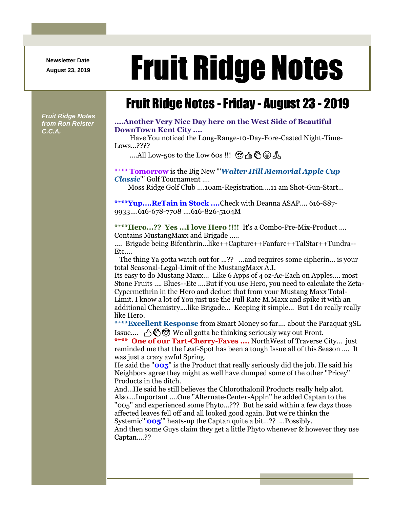**Newsletter Date**

# August 23, 2019 **Fruit Ridge Notes**

## Fruit Ridge Notes -Friday - August 23 - 2019

*Fruit Ridge Notes from Ron Reister C.C.A.*

#### **....Another Very Nice Day here on the West Side of Beautiful DownTown Kent City ....**

Have You noticed the Long-Range-10-Day-Fore-Casted Night-Time-Lows...????

....All Low-50s to the Low 60s !!!  $\mathfrak{B} \oplus \mathfrak{F} \oplus \mathfrak{F}$ 

#### **\*\*\*\* Tomorrow** is the Big New '''*Walter Hill Memorial Apple Cup Classic*''' Golf Tournament ....

Moss Ridge Golf Club ....10am-Registration....11 am Shot-Gun-Start...

**\*\*\*\*Yup....ReTain in Stock ....**Check with Deanna ASAP.... 616-887- 9933....616-678-7708 ....616-826-5104M

**\*\*\*\*Hero...?? Yes ...I love Hero !!!!** It's a Combo-Pre-Mix-Product .... Contains MustangMaxx and Brigade .....

.... Brigade being Bifenthrin...like++Capture++Fanfare++TalStar++Tundra-- Etc....

The thing Ya gotta watch out for ...?? ...and requires some cipherin... is your total Seasonal-Legal-Limit of the MustangMaxx A.I.

Its easy to do Mustang Maxx... Like 6 Apps of 4 oz-Ac-Each on Apples.... most Stone Fruits .... Blues--Etc ....But if you use Hero, you need to calculate the Zeta-Cypermethrin in the Hero and deduct that from your Mustang Maxx Total-Limit. I know a lot of You just use the Full Rate M.Maxx and spike it with an additional Chemistry....like Brigade... Keeping it simple... But I do really really like Hero.

**\*\*\*\*Excellent Response** from Smart Money so far.... about the Paraquat 3SL Issue....  $\mathcal{A} \otimes \mathcal{B}$  We all gotta be thinking seriously way out Front.

**\*\*\*\* One of our Tart-Cherry-Faves ....** NorthWest of Traverse City... just reminded me that the Leaf-Spot has been a tough Issue all of this Season .... It was just a crazy awful Spring.

He said the ''**005**'' is the Product that really seriously did the job. He said his Neighbors agree they might as well have dumped some of the other ''Pricey'' Products in the ditch.

And...He said he still believes the Chlorothalonil Products really help alot. Also....Important ....One ''Alternate-Center-Appln'' he added Captan to the ''005'' and experienced some Phyto...??? But he said within a few days those affected leaves fell off and all looked good again. But we're thinkn the Systemic'''**005**''' heats-up the Captan quite a bit...?? ...Possibly. And then some Guys claim they get a little Phyto whenever & however they use

Captan....??